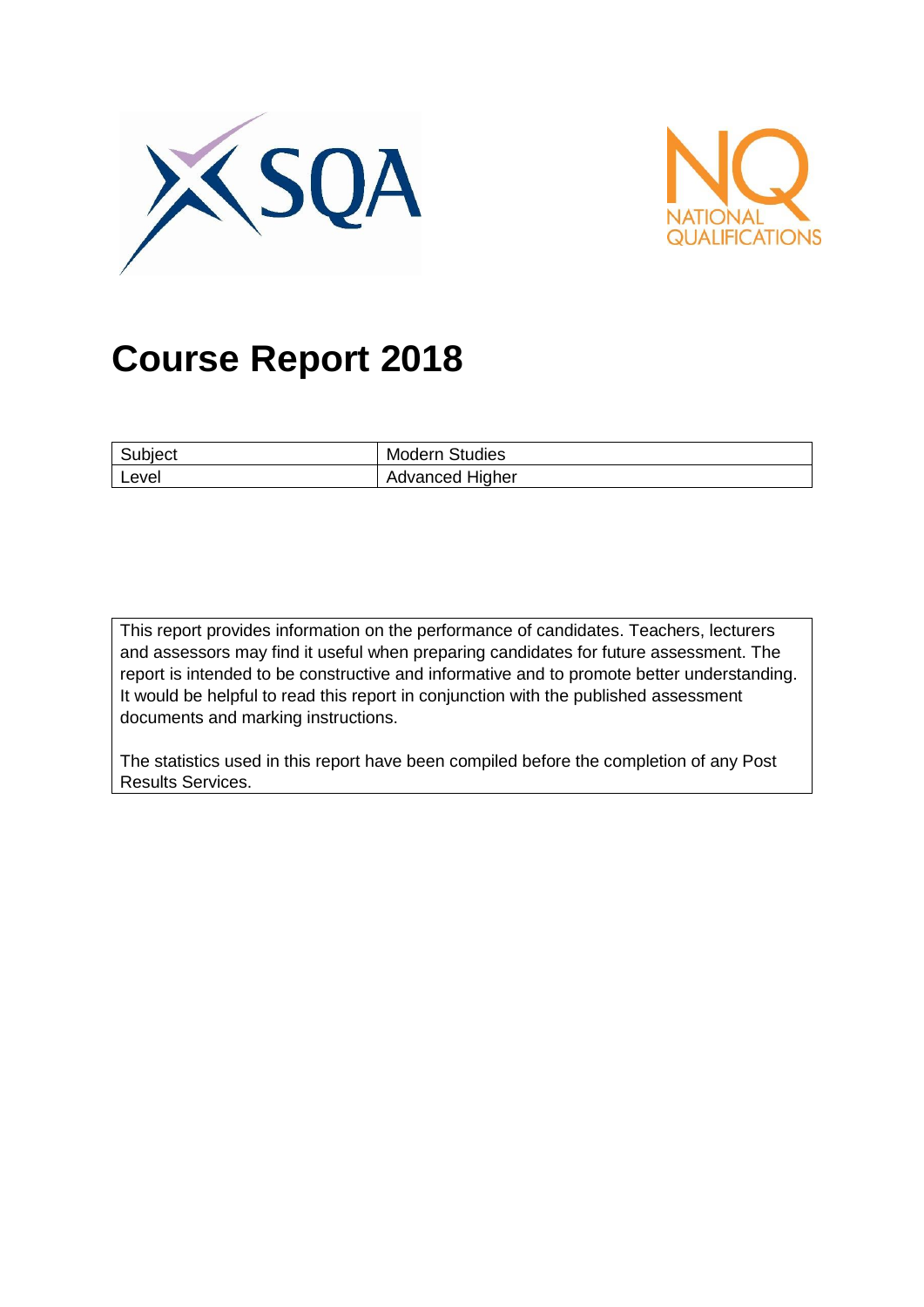



# **Course Report 2018**

| Subject | <b>Modern Studies</b> |
|---------|-----------------------|
| Level   | Advanced Higher       |

This report provides information on the performance of candidates. Teachers, lecturers and assessors may find it useful when preparing candidates for future assessment. The report is intended to be constructive and informative and to promote better understanding. It would be helpful to read this report in conjunction with the published assessment documents and marking instructions.

The statistics used in this report have been compiled before the completion of any Post Results Services.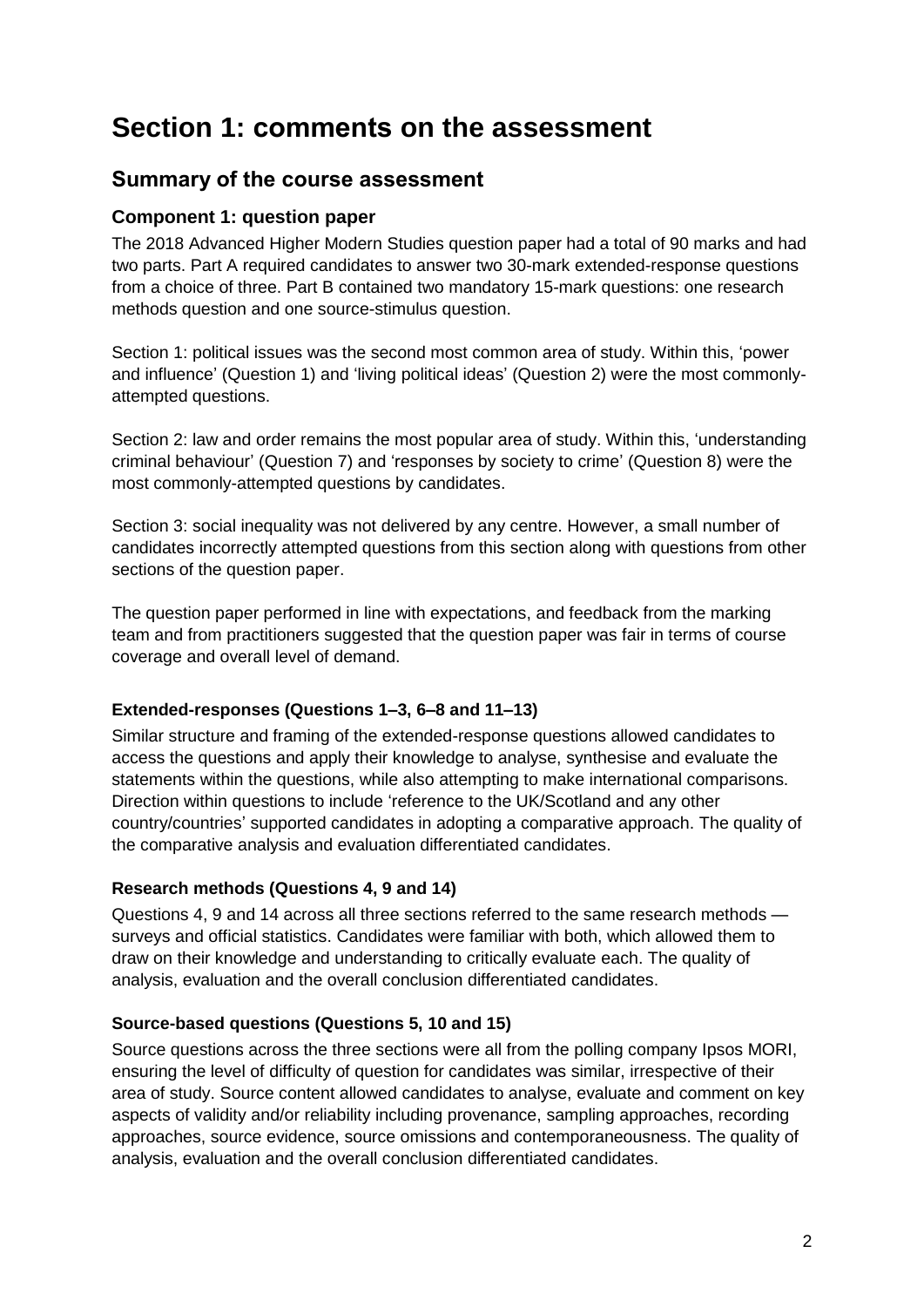## **Section 1: comments on the assessment**

### **Summary of the course assessment**

#### **Component 1: question paper**

The 2018 Advanced Higher Modern Studies question paper had a total of 90 marks and had two parts. Part A required candidates to answer two 30-mark extended-response questions from a choice of three. Part B contained two mandatory 15-mark questions: one research methods question and one source-stimulus question.

Section 1: political issues was the second most common area of study. Within this, 'power and influence' (Question 1) and 'living political ideas' (Question 2) were the most commonlyattempted questions.

Section 2: law and order remains the most popular area of study. Within this, 'understanding criminal behaviour' (Question 7) and 'responses by society to crime' (Question 8) were the most commonly-attempted questions by candidates.

Section 3: social inequality was not delivered by any centre. However, a small number of candidates incorrectly attempted questions from this section along with questions from other sections of the question paper.

The question paper performed in line with expectations, and feedback from the marking team and from practitioners suggested that the question paper was fair in terms of course coverage and overall level of demand.

#### **Extended-responses (Questions 1–3, 6–8 and 11–13)**

Similar structure and framing of the extended-response questions allowed candidates to access the questions and apply their knowledge to analyse, synthesise and evaluate the statements within the questions, while also attempting to make international comparisons. Direction within questions to include 'reference to the UK/Scotland and any other country/countries' supported candidates in adopting a comparative approach. The quality of the comparative analysis and evaluation differentiated candidates.

#### **Research methods (Questions 4, 9 and 14)**

Questions 4, 9 and 14 across all three sections referred to the same research methods surveys and official statistics. Candidates were familiar with both, which allowed them to draw on their knowledge and understanding to critically evaluate each. The quality of analysis, evaluation and the overall conclusion differentiated candidates.

#### **Source-based questions (Questions 5, 10 and 15)**

Source questions across the three sections were all from the polling company Ipsos MORI, ensuring the level of difficulty of question for candidates was similar, irrespective of their area of study. Source content allowed candidates to analyse, evaluate and comment on key aspects of validity and/or reliability including provenance, sampling approaches, recording approaches, source evidence, source omissions and contemporaneousness. The quality of analysis, evaluation and the overall conclusion differentiated candidates.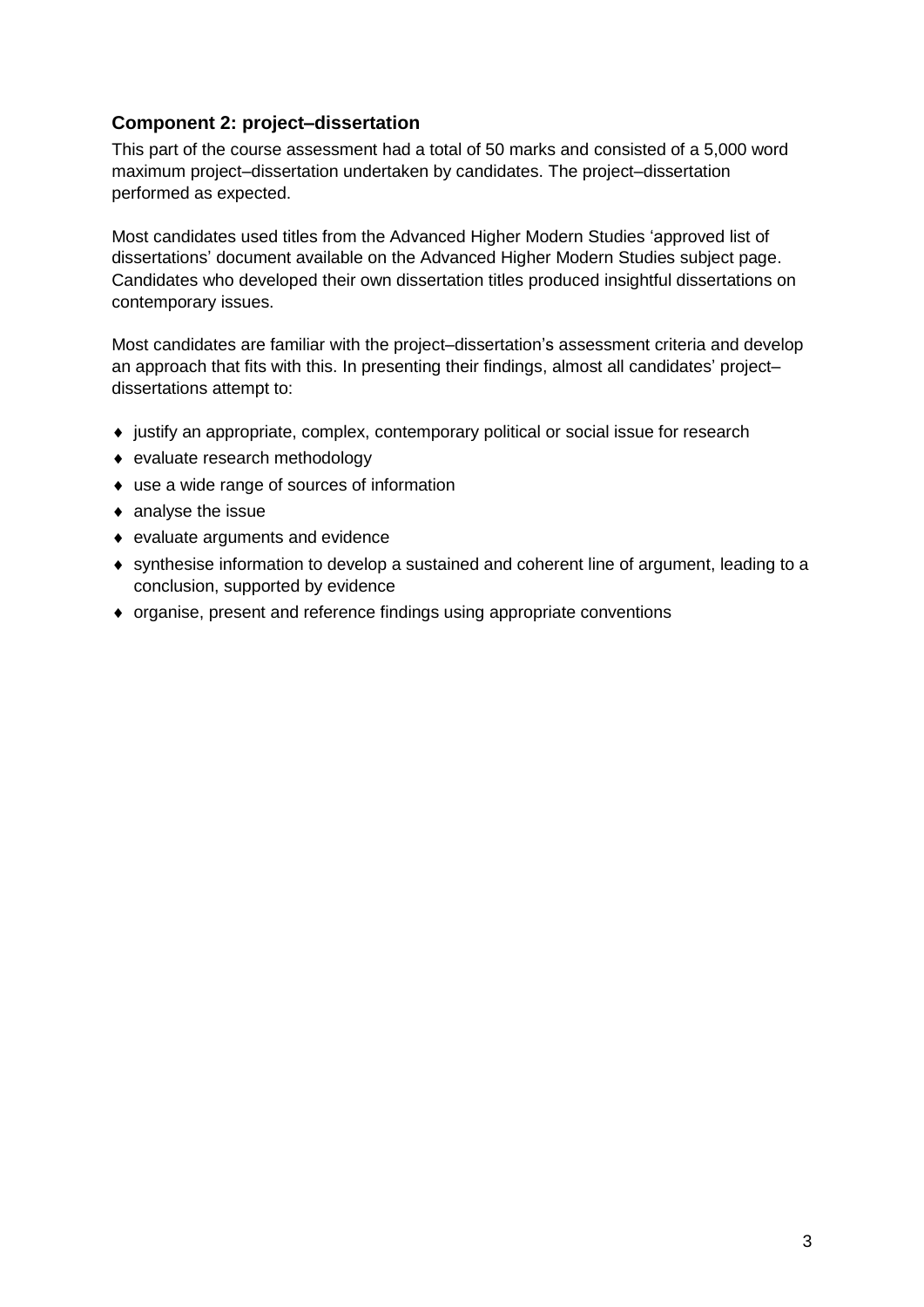#### **Component 2: project–dissertation**

This part of the course assessment had a total of 50 marks and consisted of a 5,000 word maximum project–dissertation undertaken by candidates. The project–dissertation performed as expected.

Most candidates used titles from the Advanced Higher Modern Studies 'approved list of dissertations' document available on the Advanced Higher Modern Studies subject page. Candidates who developed their own dissertation titles produced insightful dissertations on contemporary issues.

Most candidates are familiar with the project–dissertation's assessment criteria and develop an approach that fits with this. In presenting their findings, almost all candidates' project– dissertations attempt to:

- justify an appropriate, complex, contemporary political or social issue for research
- ◆ evaluate research methodology
- use a wide range of sources of information
- analyse the issue
- evaluate arguments and evidence
- synthesise information to develop a sustained and coherent line of argument, leading to a conclusion, supported by evidence
- organise, present and reference findings using appropriate conventions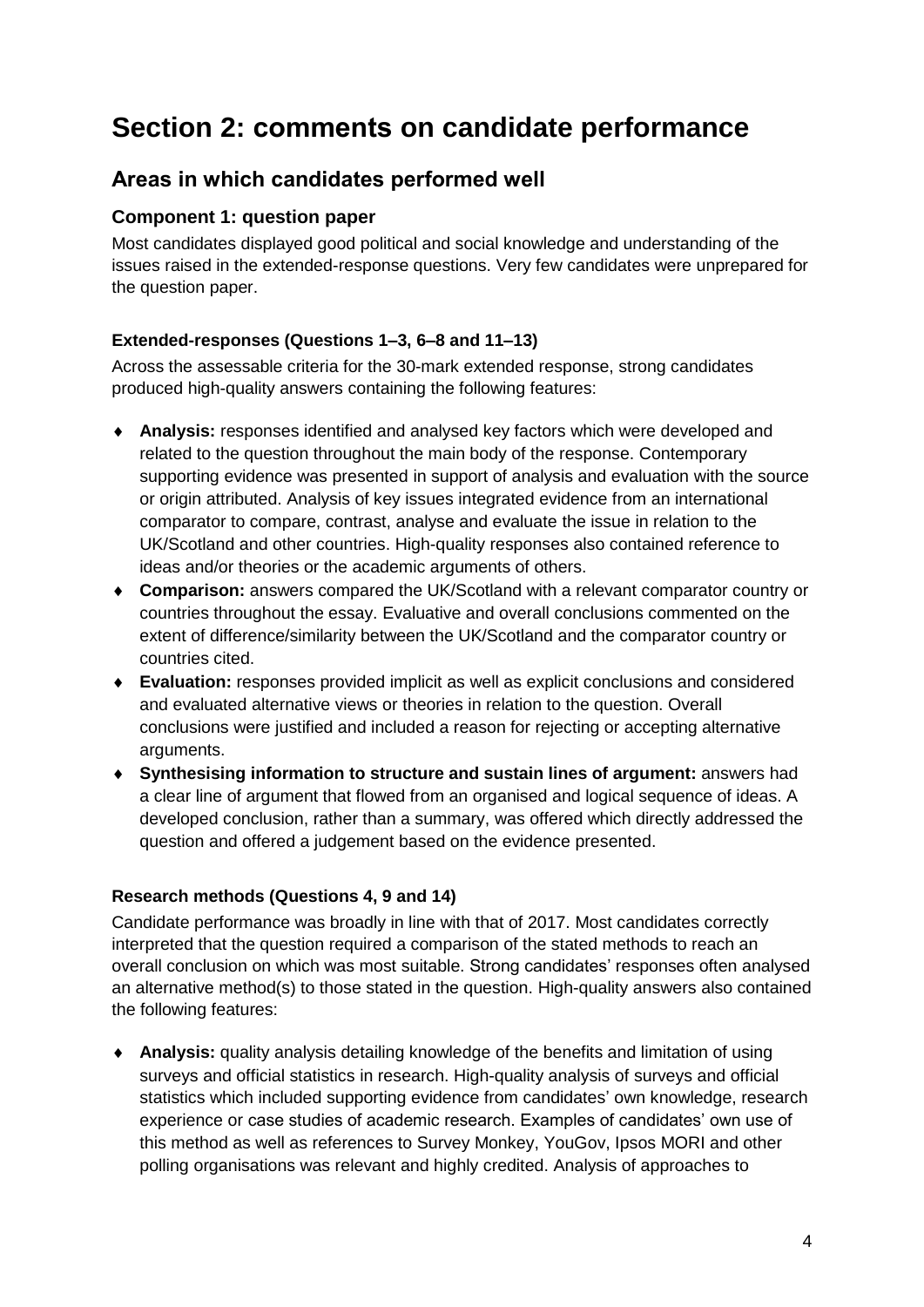## **Section 2: comments on candidate performance**

### **Areas in which candidates performed well**

#### **Component 1: question paper**

Most candidates displayed good political and social knowledge and understanding of the issues raised in the extended-response questions. Very few candidates were unprepared for the question paper.

#### **Extended-responses (Questions 1–3, 6–8 and 11–13)**

Across the assessable criteria for the 30-mark extended response, strong candidates produced high-quality answers containing the following features:

- **Analysis:** responses identified and analysed key factors which were developed and related to the question throughout the main body of the response. Contemporary supporting evidence was presented in support of analysis and evaluation with the source or origin attributed. Analysis of key issues integrated evidence from an international comparator to compare, contrast, analyse and evaluate the issue in relation to the UK/Scotland and other countries. High-quality responses also contained reference to ideas and/or theories or the academic arguments of others.
- **Comparison:** answers compared the UK/Scotland with a relevant comparator country or countries throughout the essay. Evaluative and overall conclusions commented on the extent of difference/similarity between the UK/Scotland and the comparator country or countries cited.
- **Evaluation:** responses provided implicit as well as explicit conclusions and considered and evaluated alternative views or theories in relation to the question. Overall conclusions were justified and included a reason for rejecting or accepting alternative arguments.
- **Synthesising information to structure and sustain lines of argument:** answers had a clear line of argument that flowed from an organised and logical sequence of ideas. A developed conclusion, rather than a summary, was offered which directly addressed the question and offered a judgement based on the evidence presented.

#### **Research methods (Questions 4, 9 and 14)**

Candidate performance was broadly in line with that of 2017. Most candidates correctly interpreted that the question required a comparison of the stated methods to reach an overall conclusion on which was most suitable. Strong candidates' responses often analysed an alternative method(s) to those stated in the question. High-quality answers also contained the following features:

 **Analysis:** quality analysis detailing knowledge of the benefits and limitation of using surveys and official statistics in research. High-quality analysis of surveys and official statistics which included supporting evidence from candidates' own knowledge, research experience or case studies of academic research. Examples of candidates' own use of this method as well as references to Survey Monkey, YouGov, Ipsos MORI and other polling organisations was relevant and highly credited. Analysis of approaches to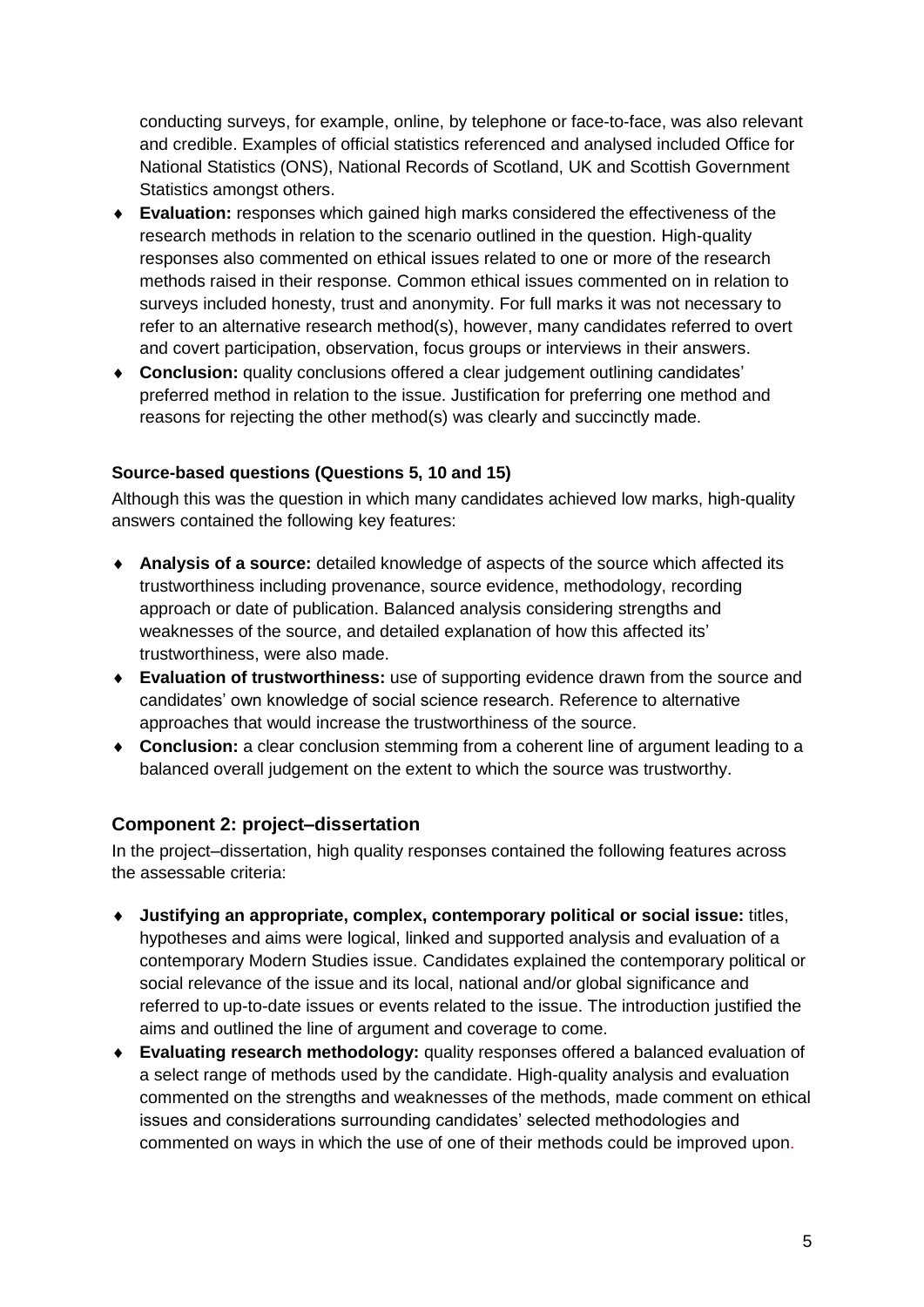conducting surveys, for example, online, by telephone or face-to-face, was also relevant and credible. Examples of official statistics referenced and analysed included Office for National Statistics (ONS), National Records of Scotland, UK and Scottish Government Statistics amongst others.

- **Evaluation:** responses which gained high marks considered the effectiveness of the research methods in relation to the scenario outlined in the question. High-quality responses also commented on ethical issues related to one or more of the research methods raised in their response. Common ethical issues commented on in relation to surveys included honesty, trust and anonymity. For full marks it was not necessary to refer to an alternative research method(s), however, many candidates referred to overt and covert participation, observation, focus groups or interviews in their answers.
- **Conclusion:** quality conclusions offered a clear judgement outlining candidates' preferred method in relation to the issue. Justification for preferring one method and reasons for rejecting the other method(s) was clearly and succinctly made.

#### **Source-based questions (Questions 5, 10 and 15)**

Although this was the question in which many candidates achieved low marks, high-quality answers contained the following key features:

- **Analysis of a source:** detailed knowledge of aspects of the source which affected its trustworthiness including provenance, source evidence, methodology, recording approach or date of publication. Balanced analysis considering strengths and weaknesses of the source, and detailed explanation of how this affected its' trustworthiness, were also made.
- **Evaluation of trustworthiness:** use of supporting evidence drawn from the source and candidates' own knowledge of social science research. Reference to alternative approaches that would increase the trustworthiness of the source.
- **Conclusion:** a clear conclusion stemming from a coherent line of argument leading to a balanced overall judgement on the extent to which the source was trustworthy.

#### **Component 2: project–dissertation**

In the project–dissertation, high quality responses contained the following features across the assessable criteria:

- **Justifying an appropriate, complex, contemporary political or social issue:** titles, hypotheses and aims were logical, linked and supported analysis and evaluation of a contemporary Modern Studies issue. Candidates explained the contemporary political or social relevance of the issue and its local, national and/or global significance and referred to up-to-date issues or events related to the issue. The introduction justified the aims and outlined the line of argument and coverage to come.
- **Evaluating research methodology:** quality responses offered a balanced evaluation of a select range of methods used by the candidate. High-quality analysis and evaluation commented on the strengths and weaknesses of the methods, made comment on ethical issues and considerations surrounding candidates' selected methodologies and commented on ways in which the use of one of their methods could be improved upon.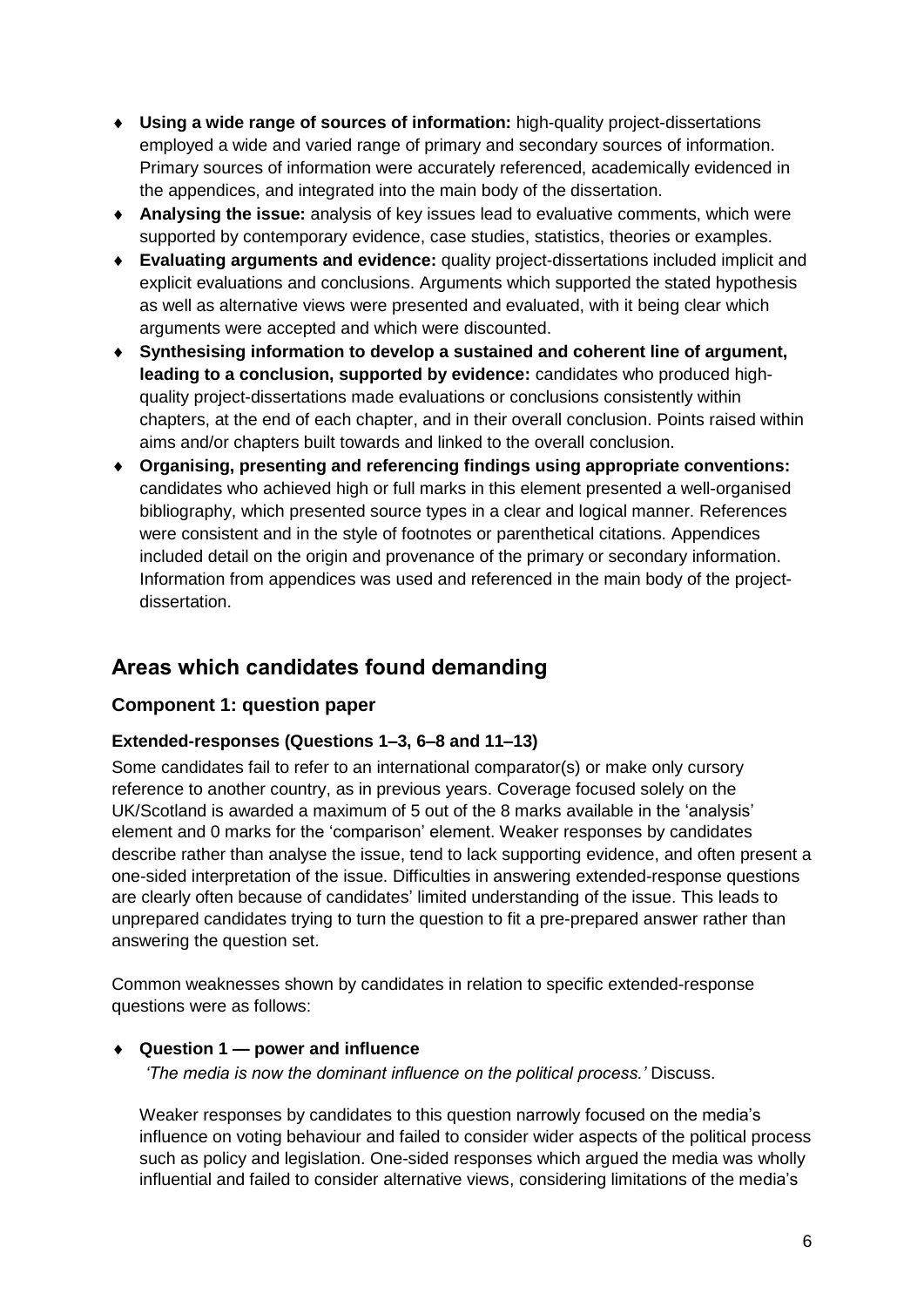- **Using a wide range of sources of information:** high-quality project-dissertations employed a wide and varied range of primary and secondary sources of information. Primary sources of information were accurately referenced, academically evidenced in the appendices, and integrated into the main body of the dissertation.
- **Analysing the issue:** analysis of key issues lead to evaluative comments, which were supported by contemporary evidence, case studies, statistics, theories or examples.
- **Evaluating arguments and evidence:** quality project-dissertations included implicit and explicit evaluations and conclusions. Arguments which supported the stated hypothesis as well as alternative views were presented and evaluated, with it being clear which arguments were accepted and which were discounted.
- **Synthesising information to develop a sustained and coherent line of argument, leading to a conclusion, supported by evidence:** candidates who produced highquality project-dissertations made evaluations or conclusions consistently within chapters, at the end of each chapter, and in their overall conclusion. Points raised within aims and/or chapters built towards and linked to the overall conclusion.
- **Organising, presenting and referencing findings using appropriate conventions:** candidates who achieved high or full marks in this element presented a well-organised bibliography, which presented source types in a clear and logical manner. References were consistent and in the style of footnotes or parenthetical citations. Appendices included detail on the origin and provenance of the primary or secondary information. Information from appendices was used and referenced in the main body of the projectdissertation.

### **Areas which candidates found demanding**

#### **Component 1: question paper**

#### **Extended-responses (Questions 1–3, 6–8 and 11–13)**

Some candidates fail to refer to an international comparator(s) or make only cursory reference to another country, as in previous years. Coverage focused solely on the UK/Scotland is awarded a maximum of 5 out of the 8 marks available in the 'analysis' element and 0 marks for the 'comparison' element. Weaker responses by candidates describe rather than analyse the issue, tend to lack supporting evidence, and often present a one-sided interpretation of the issue. Difficulties in answering extended-response questions are clearly often because of candidates' limited understanding of the issue. This leads to unprepared candidates trying to turn the question to fit a pre-prepared answer rather than answering the question set.

Common weaknesses shown by candidates in relation to specific extended-response questions were as follows:

#### **Question 1 — power and influence**

*'The media is now the dominant influence on the political process.'* Discuss.

Weaker responses by candidates to this question narrowly focused on the media's influence on voting behaviour and failed to consider wider aspects of the political process such as policy and legislation. One-sided responses which argued the media was wholly influential and failed to consider alternative views, considering limitations of the media's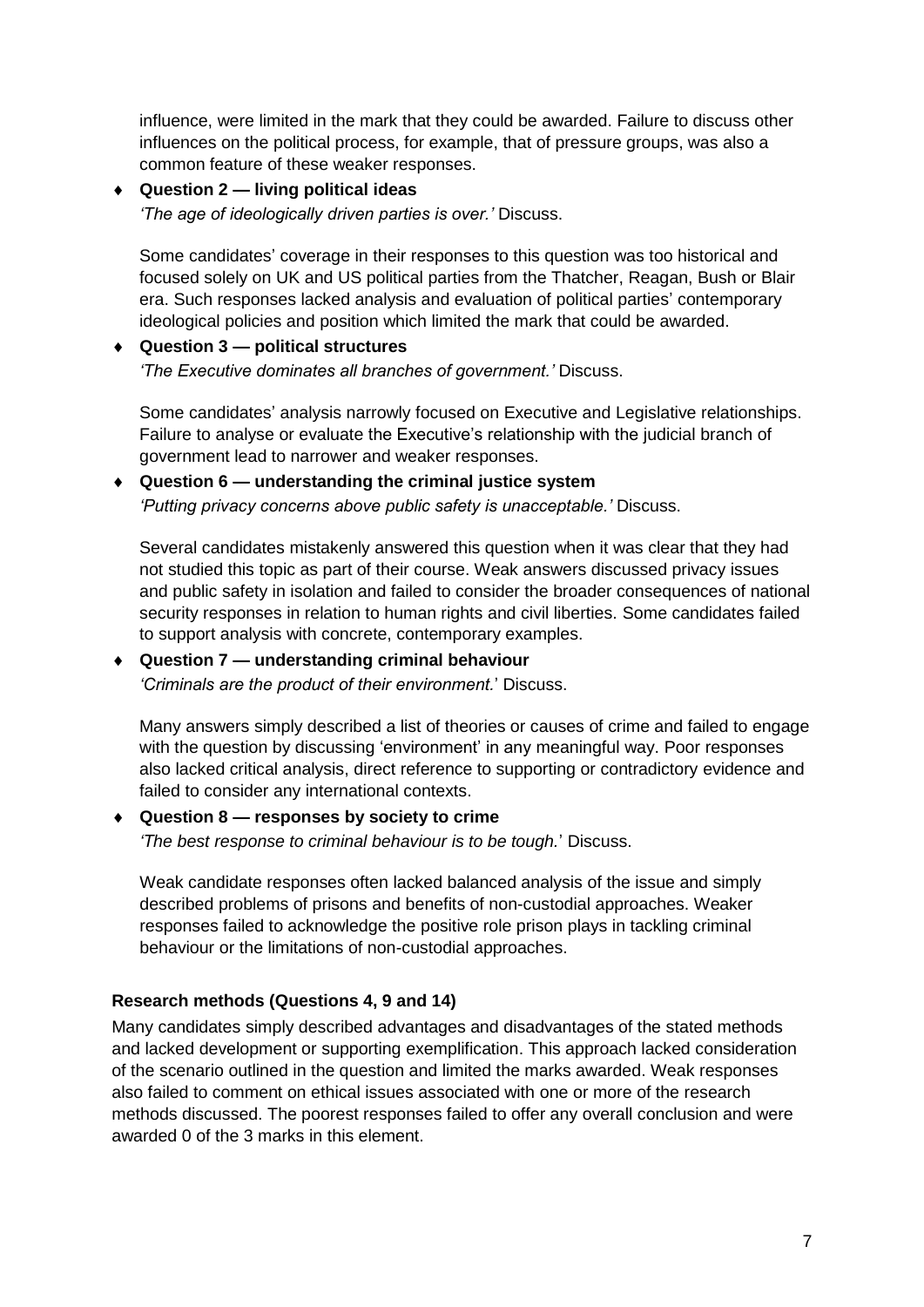influence, were limited in the mark that they could be awarded. Failure to discuss other influences on the political process, for example, that of pressure groups, was also a common feature of these weaker responses.

#### **Question 2 — living political ideas**

*'The age of ideologically driven parties is over.'* Discuss.

Some candidates' coverage in their responses to this question was too historical and focused solely on UK and US political parties from the Thatcher, Reagan, Bush or Blair era. Such responses lacked analysis and evaluation of political parties' contemporary ideological policies and position which limited the mark that could be awarded.

#### **Question 3 — political structures**  *'The Executive dominates all branches of government.'* Discuss.

Some candidates' analysis narrowly focused on Executive and Legislative relationships. Failure to analyse or evaluate the Executive's relationship with the judicial branch of government lead to narrower and weaker responses.

## **Question 6 — understanding the criminal justice system**

*'Putting privacy concerns above public safety is unacceptable.'* Discuss.

Several candidates mistakenly answered this question when it was clear that they had not studied this topic as part of their course. Weak answers discussed privacy issues and public safety in isolation and failed to consider the broader consequences of national security responses in relation to human rights and civil liberties. Some candidates failed to support analysis with concrete, contemporary examples.

#### **Question 7 — understanding criminal behaviour**

*'Criminals are the product of their environment.*' Discuss.

Many answers simply described a list of theories or causes of crime and failed to engage with the question by discussing 'environment' in any meaningful way. Poor responses also lacked critical analysis, direct reference to supporting or contradictory evidence and failed to consider any international contexts.

#### **Question 8 — responses by society to crime**

*'The best response to criminal behaviour is to be tough.*' Discuss.

Weak candidate responses often lacked balanced analysis of the issue and simply described problems of prisons and benefits of non-custodial approaches. Weaker responses failed to acknowledge the positive role prison plays in tackling criminal behaviour or the limitations of non-custodial approaches.

#### **Research methods (Questions 4, 9 and 14)**

Many candidates simply described advantages and disadvantages of the stated methods and lacked development or supporting exemplification. This approach lacked consideration of the scenario outlined in the question and limited the marks awarded. Weak responses also failed to comment on ethical issues associated with one or more of the research methods discussed. The poorest responses failed to offer any overall conclusion and were awarded 0 of the 3 marks in this element.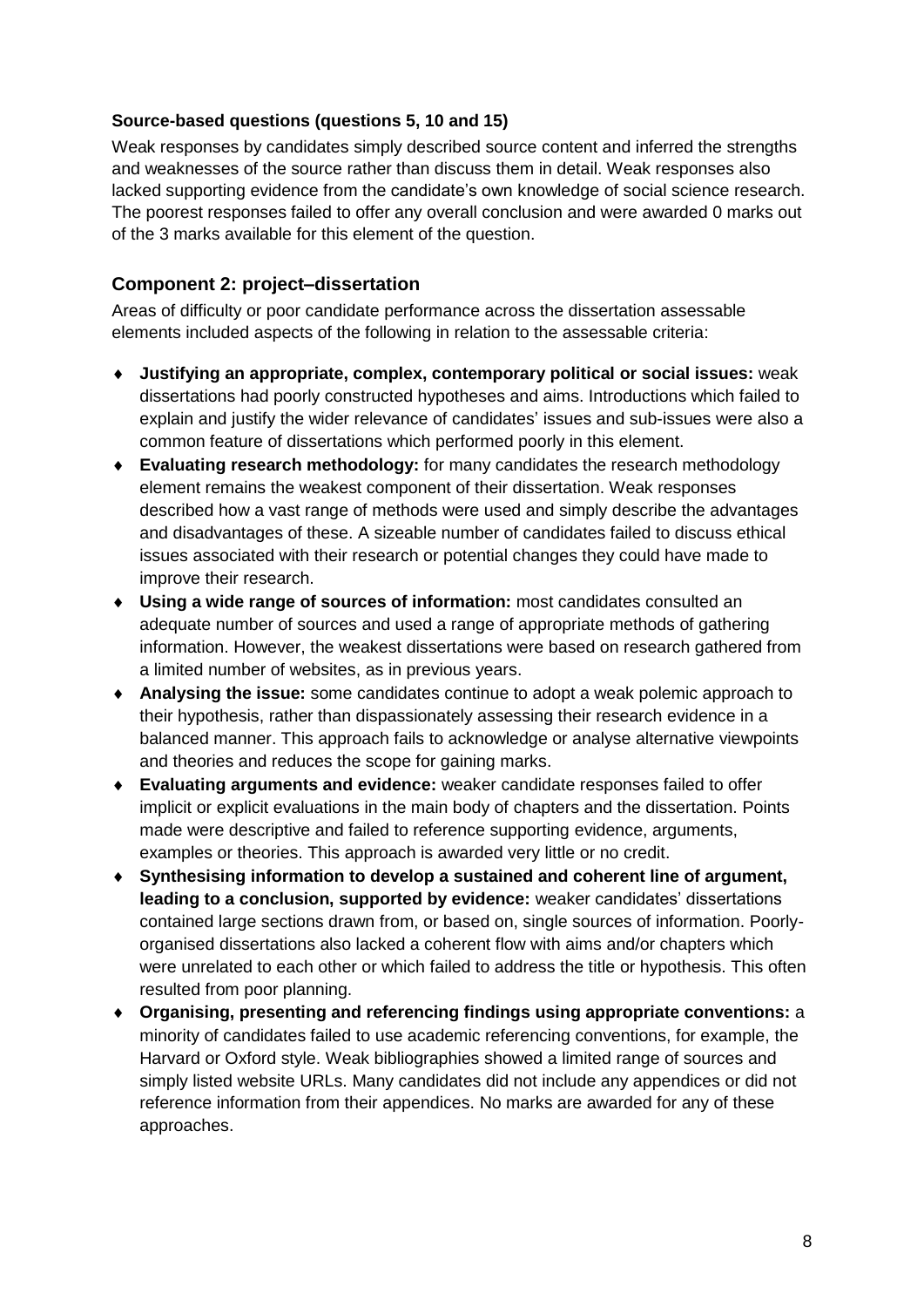#### **Source-based questions (questions 5, 10 and 15)**

Weak responses by candidates simply described source content and inferred the strengths and weaknesses of the source rather than discuss them in detail. Weak responses also lacked supporting evidence from the candidate's own knowledge of social science research. The poorest responses failed to offer any overall conclusion and were awarded 0 marks out of the 3 marks available for this element of the question.

#### **Component 2: project–dissertation**

Areas of difficulty or poor candidate performance across the dissertation assessable elements included aspects of the following in relation to the assessable criteria:

- **Justifying an appropriate, complex, contemporary political or social issues:** weak dissertations had poorly constructed hypotheses and aims. Introductions which failed to explain and justify the wider relevance of candidates' issues and sub-issues were also a common feature of dissertations which performed poorly in this element.
- **Evaluating research methodology:** for many candidates the research methodology element remains the weakest component of their dissertation. Weak responses described how a vast range of methods were used and simply describe the advantages and disadvantages of these. A sizeable number of candidates failed to discuss ethical issues associated with their research or potential changes they could have made to improve their research.
- **Using a wide range of sources of information:** most candidates consulted an adequate number of sources and used a range of appropriate methods of gathering information. However, the weakest dissertations were based on research gathered from a limited number of websites, as in previous years.
- **Analysing the issue:** some candidates continue to adopt a weak polemic approach to their hypothesis, rather than dispassionately assessing their research evidence in a balanced manner. This approach fails to acknowledge or analyse alternative viewpoints and theories and reduces the scope for gaining marks.
- **Evaluating arguments and evidence:** weaker candidate responses failed to offer implicit or explicit evaluations in the main body of chapters and the dissertation. Points made were descriptive and failed to reference supporting evidence, arguments, examples or theories. This approach is awarded very little or no credit.
- **Synthesising information to develop a sustained and coherent line of argument, leading to a conclusion, supported by evidence:** weaker candidates' dissertations contained large sections drawn from, or based on, single sources of information. Poorlyorganised dissertations also lacked a coherent flow with aims and/or chapters which were unrelated to each other or which failed to address the title or hypothesis. This often resulted from poor planning.
- **Organising, presenting and referencing findings using appropriate conventions:** a minority of candidates failed to use academic referencing conventions, for example, the Harvard or Oxford style. Weak bibliographies showed a limited range of sources and simply listed website URLs. Many candidates did not include any appendices or did not reference information from their appendices. No marks are awarded for any of these approaches.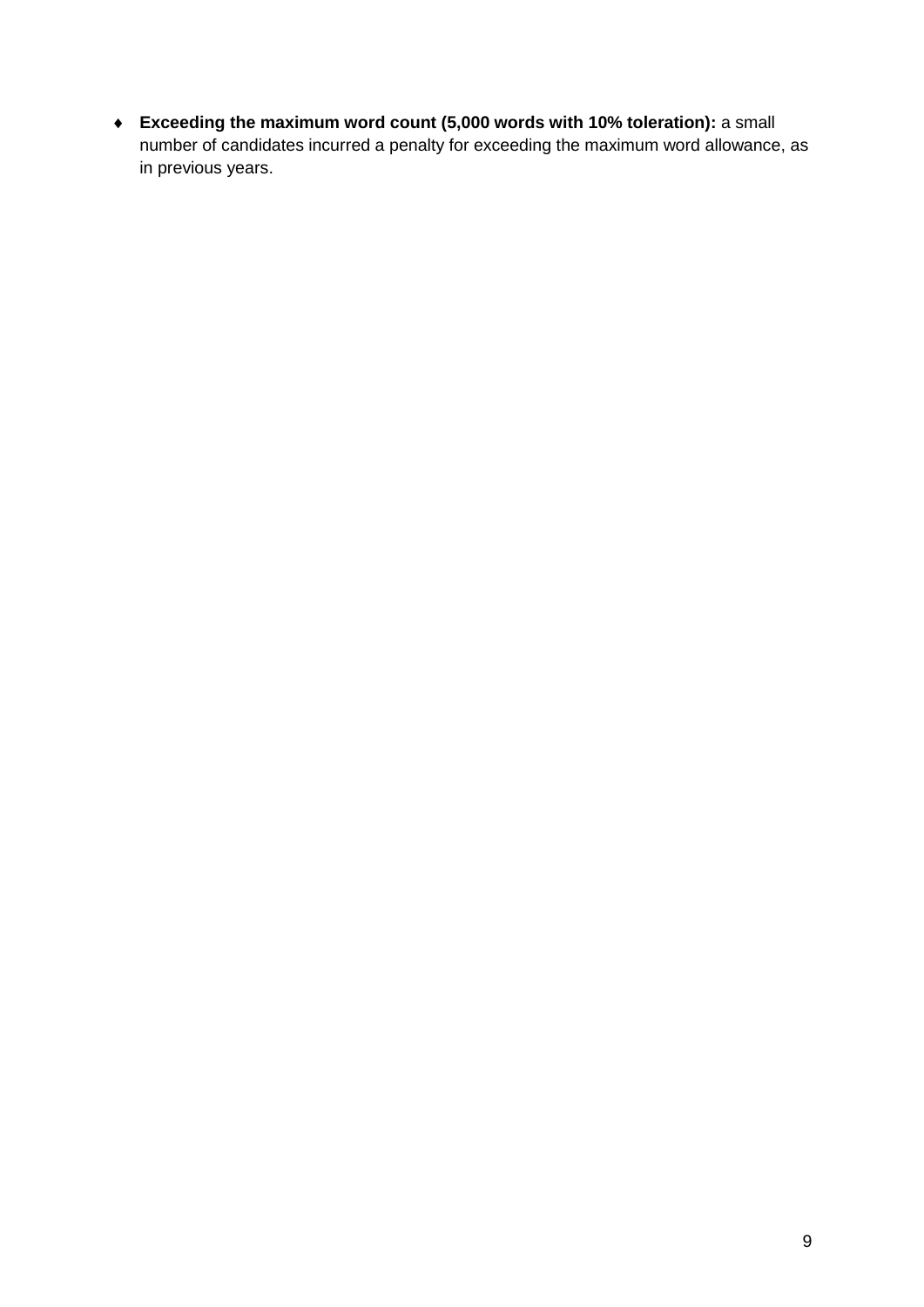**Exceeding the maximum word count (5,000 words with 10% toleration):** a small number of candidates incurred a penalty for exceeding the maximum word allowance, as in previous years.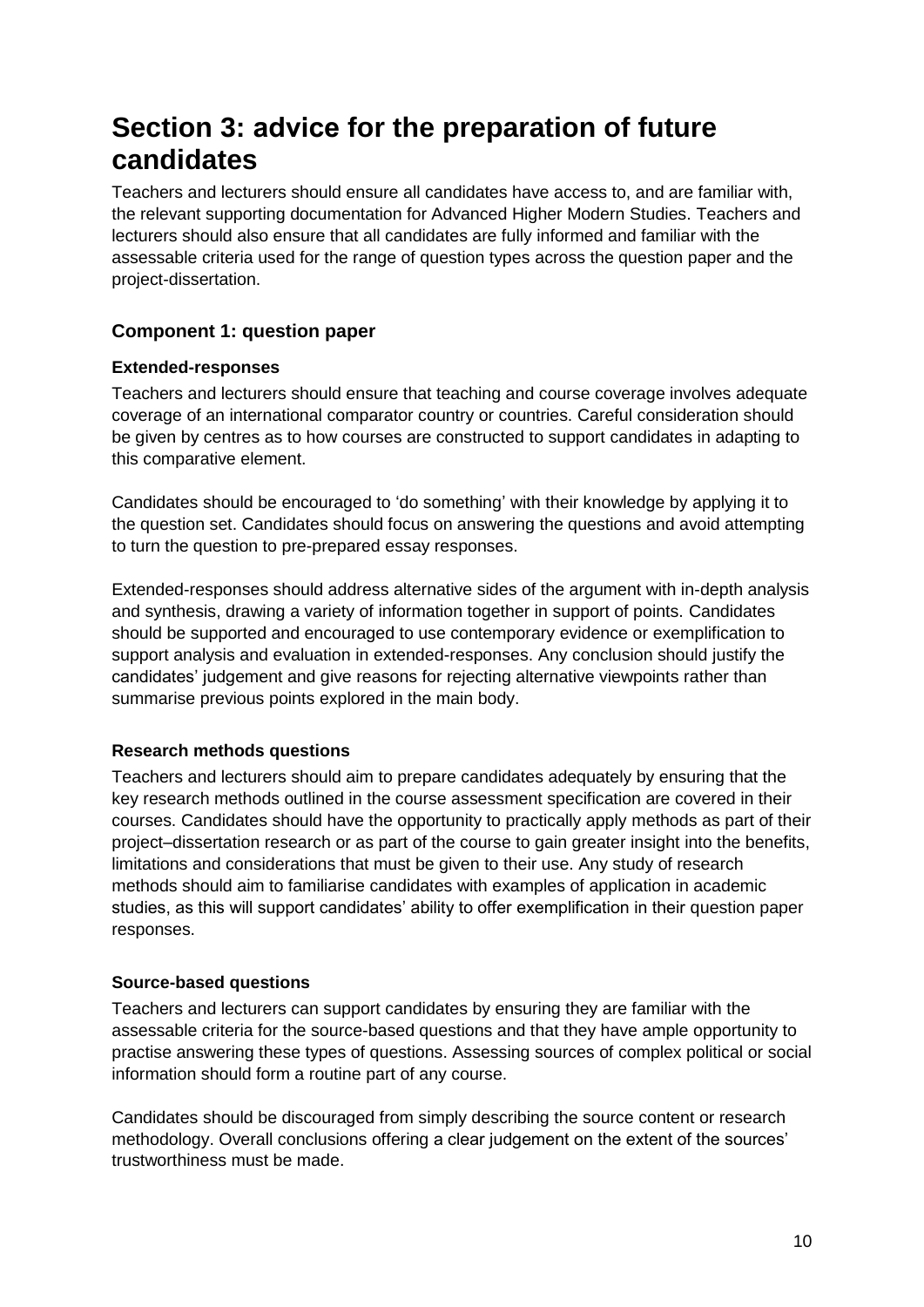## **Section 3: advice for the preparation of future candidates**

Teachers and lecturers should ensure all candidates have access to, and are familiar with, the relevant supporting documentation for Advanced Higher Modern Studies. Teachers and lecturers should also ensure that all candidates are fully informed and familiar with the assessable criteria used for the range of question types across the question paper and the project-dissertation.

#### **Component 1: question paper**

#### **Extended-responses**

Teachers and lecturers should ensure that teaching and course coverage involves adequate coverage of an international comparator country or countries. Careful consideration should be given by centres as to how courses are constructed to support candidates in adapting to this comparative element.

Candidates should be encouraged to 'do something' with their knowledge by applying it to the question set. Candidates should focus on answering the questions and avoid attempting to turn the question to pre-prepared essay responses.

Extended-responses should address alternative sides of the argument with in-depth analysis and synthesis, drawing a variety of information together in support of points. Candidates should be supported and encouraged to use contemporary evidence or exemplification to support analysis and evaluation in extended-responses. Any conclusion should justify the candidates' judgement and give reasons for rejecting alternative viewpoints rather than summarise previous points explored in the main body.

#### **Research methods questions**

Teachers and lecturers should aim to prepare candidates adequately by ensuring that the key research methods outlined in the course assessment specification are covered in their courses. Candidates should have the opportunity to practically apply methods as part of their project–dissertation research or as part of the course to gain greater insight into the benefits, limitations and considerations that must be given to their use. Any study of research methods should aim to familiarise candidates with examples of application in academic studies, as this will support candidates' ability to offer exemplification in their question paper responses.

#### **Source-based questions**

Teachers and lecturers can support candidates by ensuring they are familiar with the assessable criteria for the source-based questions and that they have ample opportunity to practise answering these types of questions. Assessing sources of complex political or social information should form a routine part of any course.

Candidates should be discouraged from simply describing the source content or research methodology. Overall conclusions offering a clear judgement on the extent of the sources' trustworthiness must be made.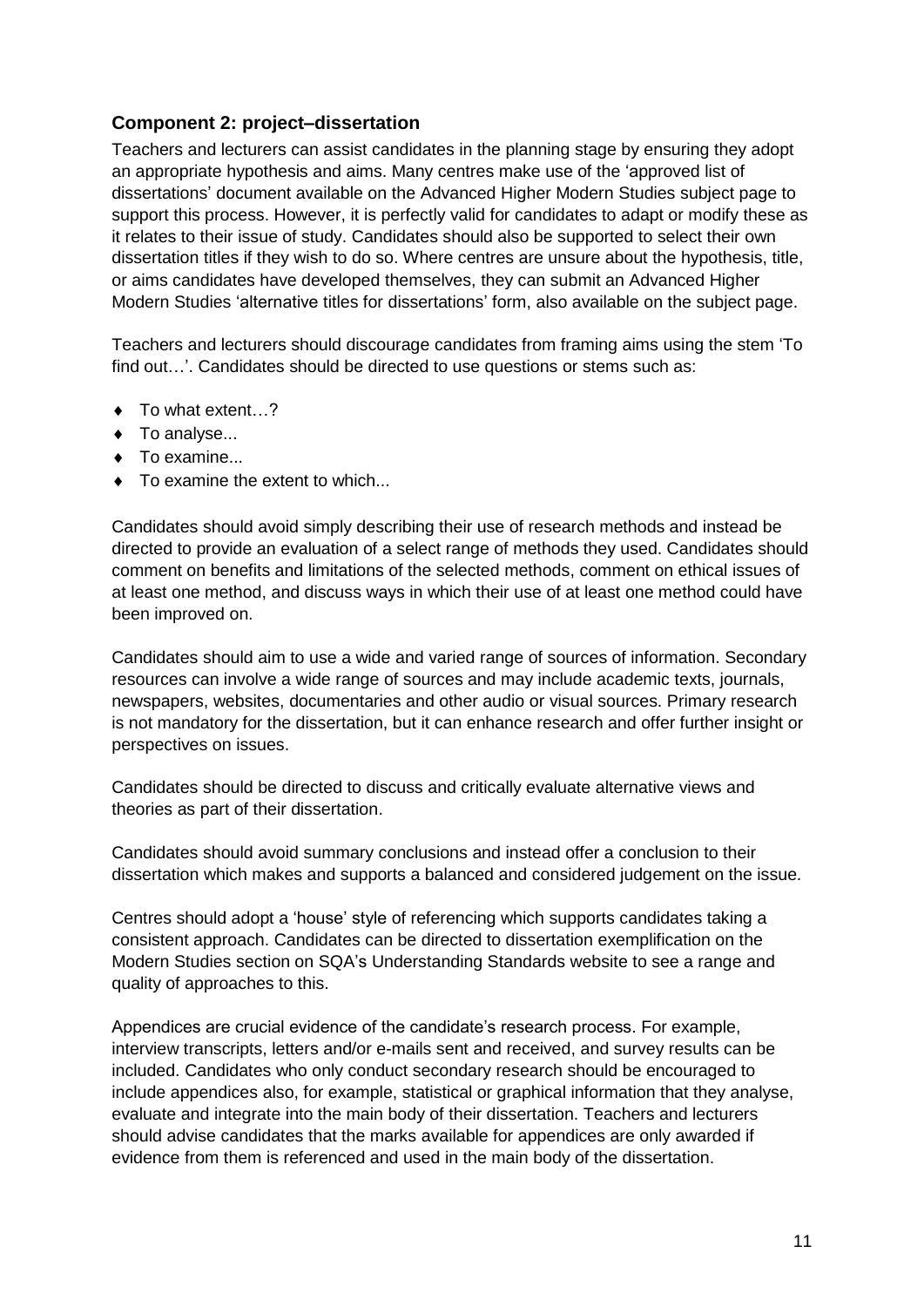#### **Component 2: project–dissertation**

Teachers and lecturers can assist candidates in the planning stage by ensuring they adopt an appropriate hypothesis and aims. Many centres make use of the 'approved list of dissertations' document available on the Advanced Higher Modern Studies subject page to support this process. However, it is perfectly valid for candidates to adapt or modify these as it relates to their issue of study. Candidates should also be supported to select their own dissertation titles if they wish to do so. Where centres are unsure about the hypothesis, title, or aims candidates have developed themselves, they can submit an Advanced Higher Modern Studies 'alternative titles for dissertations' form, also available on the subject page.

Teachers and lecturers should discourage candidates from framing aims using the stem 'To find out…'. Candidates should be directed to use questions or stems such as:

- ◆ To what extent...?
- ◆ To analyse...
- ◆ To examine...
- $\bullet$  To examine the extent to which...

Candidates should avoid simply describing their use of research methods and instead be directed to provide an evaluation of a select range of methods they used. Candidates should comment on benefits and limitations of the selected methods, comment on ethical issues of at least one method, and discuss ways in which their use of at least one method could have been improved on.

Candidates should aim to use a wide and varied range of sources of information. Secondary resources can involve a wide range of sources and may include academic texts, journals, newspapers, websites, documentaries and other audio or visual sources. Primary research is not mandatory for the dissertation, but it can enhance research and offer further insight or perspectives on issues.

Candidates should be directed to discuss and critically evaluate alternative views and theories as part of their dissertation.

Candidates should avoid summary conclusions and instead offer a conclusion to their dissertation which makes and supports a balanced and considered judgement on the issue.

Centres should adopt a 'house' style of referencing which supports candidates taking a consistent approach. Candidates can be directed to dissertation exemplification on the Modern Studies section on SQA's Understanding Standards website to see a range and quality of approaches to this.

Appendices are crucial evidence of the candidate's research process. For example, interview transcripts, letters and/or e-mails sent and received, and survey results can be included. Candidates who only conduct secondary research should be encouraged to include appendices also, for example, statistical or graphical information that they analyse, evaluate and integrate into the main body of their dissertation. Teachers and lecturers should advise candidates that the marks available for appendices are only awarded if evidence from them is referenced and used in the main body of the dissertation.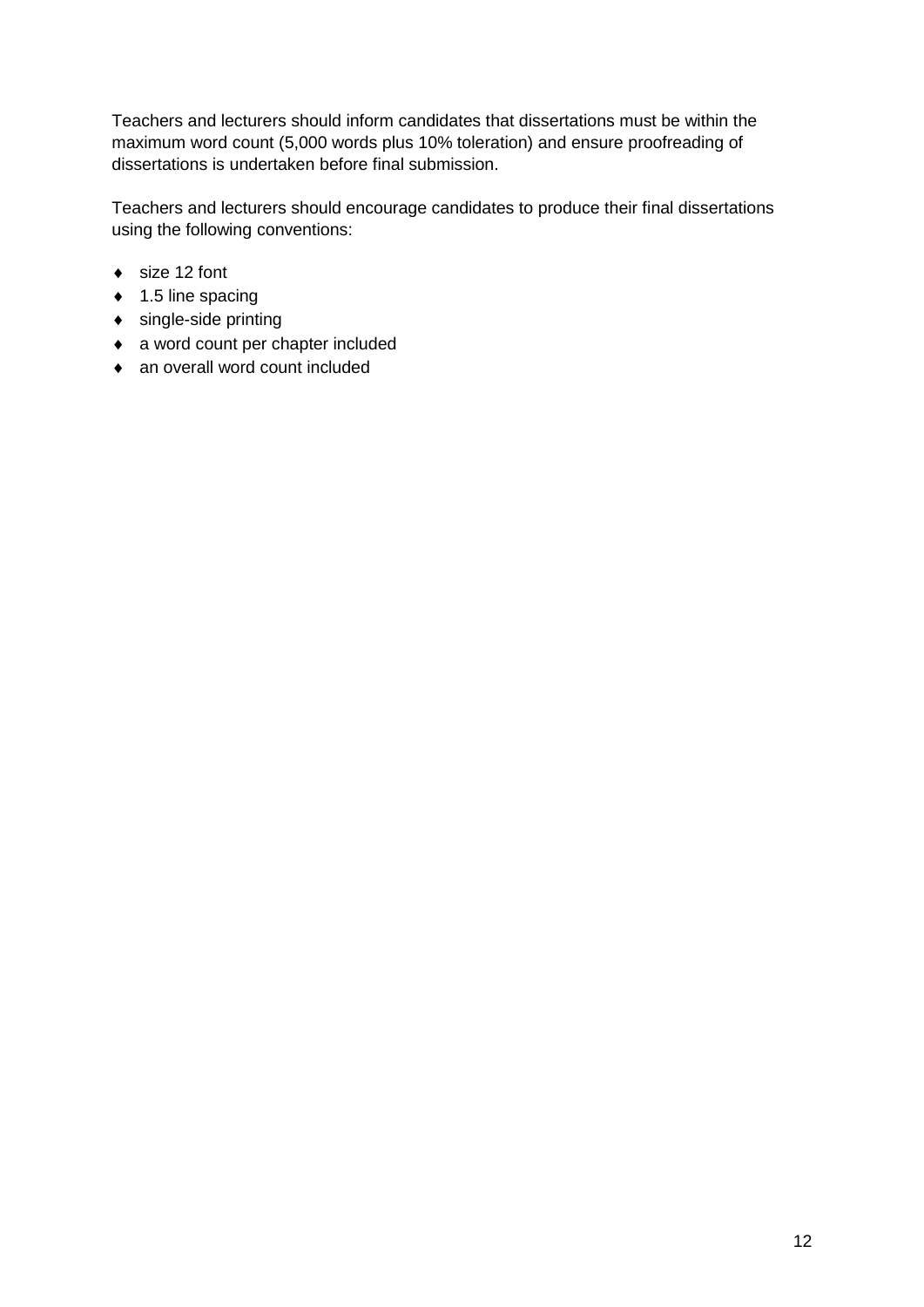Teachers and lecturers should inform candidates that dissertations must be within the maximum word count (5,000 words plus 10% toleration) and ensure proofreading of dissertations is undertaken before final submission.

Teachers and lecturers should encourage candidates to produce their final dissertations using the following conventions:

- ◆ size 12 font
- $\bullet$  1.5 line spacing
- single-side printing
- a word count per chapter included
- ◆ an overall word count included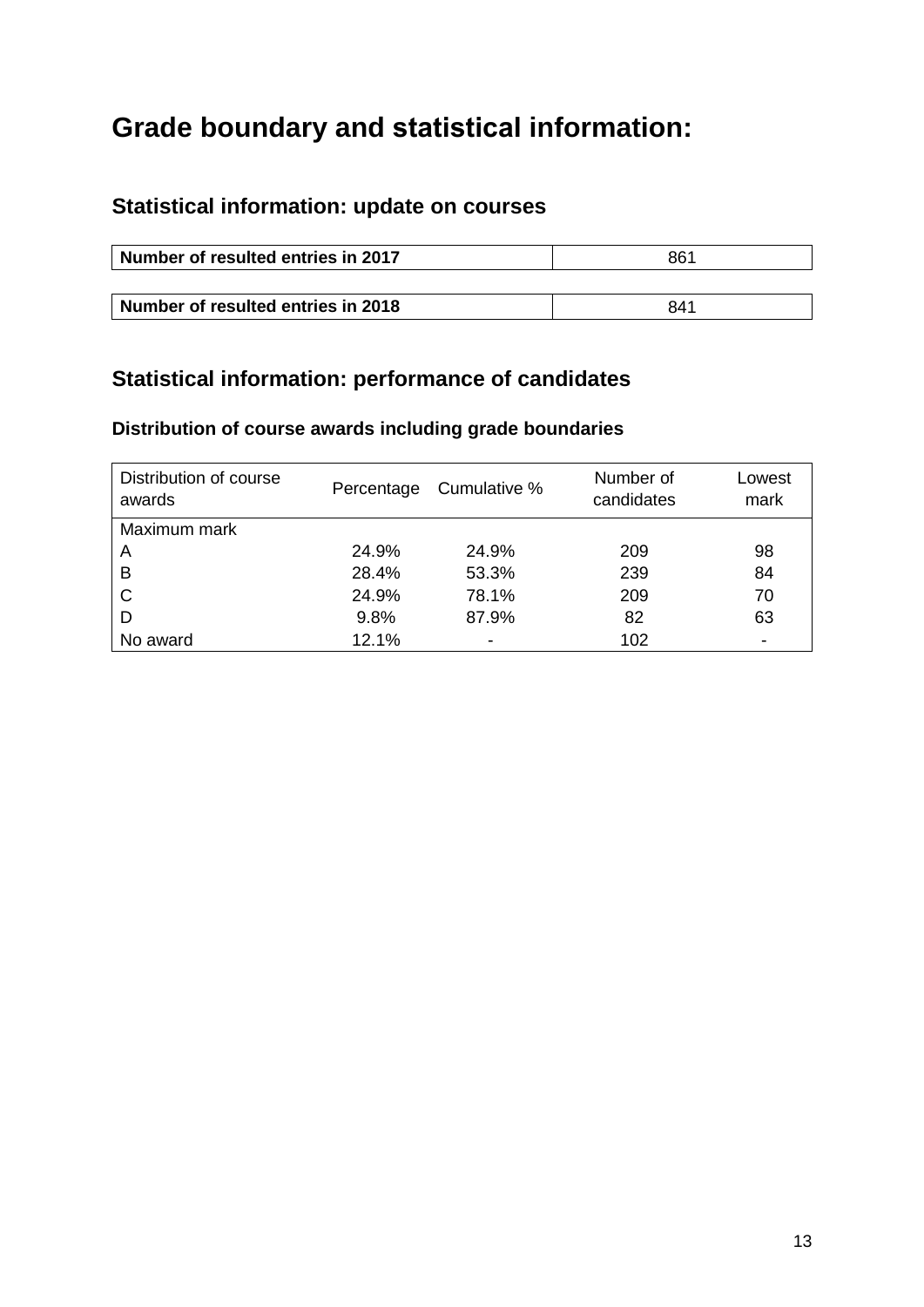## **Grade boundary and statistical information:**

## **Statistical information: update on courses**

| Number of resulted entries in 2017 | 861 |  |
|------------------------------------|-----|--|
|                                    |     |  |
| Number of resulted entries in 2018 | 841 |  |

## **Statistical information: performance of candidates**

### **Distribution of course awards including grade boundaries**

| Distribution of course<br>awards |       | Percentage Cumulative % | Number of<br>candidates | Lowest<br>mark           |
|----------------------------------|-------|-------------------------|-------------------------|--------------------------|
| Maximum mark                     |       |                         |                         |                          |
| A                                | 24.9% | 24.9%                   | 209                     | 98                       |
| B                                | 28.4% | 53.3%                   | 239                     | 84                       |
| C                                | 24.9% | 78.1%                   | 209                     | 70                       |
| D                                | 9.8%  | 87.9%                   | 82                      | 63                       |
| No award                         | 12.1% | ٠                       | 102                     | $\overline{\phantom{0}}$ |